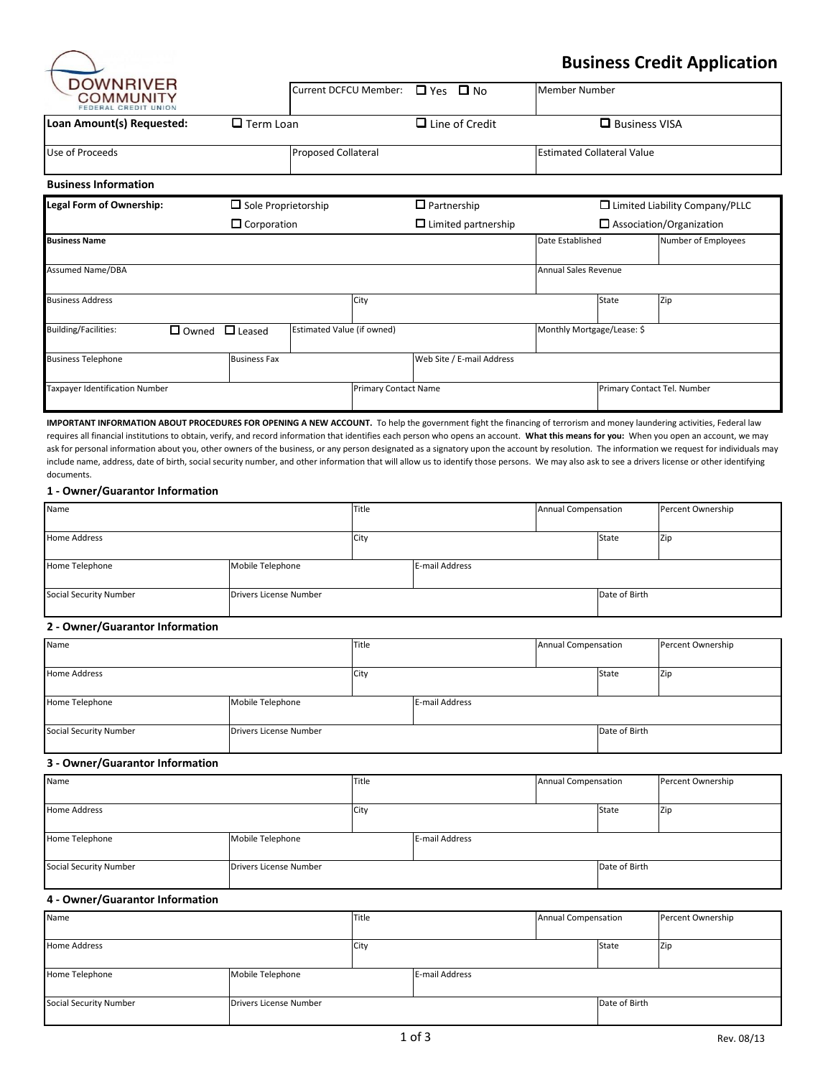

## **Business Credit Application**

| DUWINNIVER<br>COMMUNITY<br>FEDERAL CREDIT UNION |                 |                            | Current DCFCU Member:      |                             | $\Box$ Yes $\Box$ No       | <b>Member Number</b>              |       |                                       |
|-------------------------------------------------|-----------------|----------------------------|----------------------------|-----------------------------|----------------------------|-----------------------------------|-------|---------------------------------------|
| Loan Amount(s) Requested:<br>$\Box$ Term Loan   |                 |                            |                            | $\Box$ Line of Credit       |                            | $\Box$ Business VISA              |       |                                       |
| Use of Proceeds                                 |                 |                            | <b>Proposed Collateral</b> |                             |                            | <b>Estimated Collateral Value</b> |       |                                       |
| <b>Business Information</b>                     |                 |                            |                            |                             |                            |                                   |       |                                       |
| <b>Legal Form of Ownership:</b>                 |                 | $\Box$ Sole Proprietorship |                            |                             | $\Box$ Partnership         |                                   |       | $\Box$ Limited Liability Company/PLLC |
|                                                 |                 | $\Box$ Corporation         |                            |                             | $\Box$ Limited partnership | $\Box$ Association/Organization   |       |                                       |
| <b>Business Name</b>                            |                 |                            |                            |                             |                            | Date Established                  |       | Number of Employees                   |
| <b>Assumed Name/DBA</b>                         |                 |                            |                            |                             |                            | <b>Annual Sales Revenue</b>       |       |                                       |
| <b>Business Address</b>                         |                 |                            |                            | City                        |                            |                                   | State | Zip                                   |
| <b>Building/Facilities:</b>                     | $\square$ Owned | $\Box$ Leased              | Estimated Value (if owned) |                             |                            | Monthly Mortgage/Lease: \$        |       |                                       |
| <b>Business Telephone</b>                       |                 | <b>Business Fax</b>        |                            |                             | Web Site / E-mail Address  |                                   |       |                                       |
| Taxpayer Identification Number                  |                 | Primary Contact Name       |                            | Primary Contact Tel. Number |                            |                                   |       |                                       |

**IMPORTANT INFORMATION ABOUT PROCEDURES FOR OPENING A NEW ACCOUNT.** To help the government fight the financing of terrorism and money laundering activities, Federal law requires all financial institutions to obtain, verify, and record information that identifies each person who opens an account. **What this means for you:** When you open an account, we may ask for personal information about you, other owners of the business, or any person designated as a signatory upon the account by resolution. The information we request for individuals may include name, address, date of birth, social security number, and other information that will allow us to identify those persons. We may also ask to see a drivers license or other identifying documents.

#### **1 - Owner/Guarantor Information**

| Name                            |                        | Title |  | Annual Compensation |               | Percent Ownership |  |
|---------------------------------|------------------------|-------|--|---------------------|---------------|-------------------|--|
| <b>Home Address</b>             |                        | City  |  |                     | State         | Zip               |  |
| Home Telephone                  | Mobile Telephone       |       |  | E-mail Address      |               |                   |  |
| <b>Social Security Number</b>   | Drivers License Number |       |  |                     | Date of Birth |                   |  |
| 2 - Owner/Guarantor Information |                        |       |  |                     |               |                   |  |
| Name                            |                        | Title |  | Annual Compensation |               | Percent Ownership |  |

| <b>Name</b>                   |                        | <b>Title</b> |                | Annual Compensation |               | Percent |
|-------------------------------|------------------------|--------------|----------------|---------------------|---------------|---------|
| <b>Home Address</b>           |                        | City         |                |                     | State         | Zip     |
| Home Telephone                | Mobile Telephone       |              | E-mail Address |                     |               |         |
| <b>Social Security Number</b> | Drivers License Number |              |                |                     | Date of Birth |         |

## **3 - Owner/Guarantor Information**

| Name                          |                        | Title |                | Annual Compensation |               | Percent Ownership |
|-------------------------------|------------------------|-------|----------------|---------------------|---------------|-------------------|
|                               |                        |       |                |                     |               |                   |
| <b>Home Address</b>           |                        | City  |                |                     | State         | <b>Zip</b>        |
|                               |                        |       |                |                     |               |                   |
| Home Telephone                | Mobile Telephone       |       | E-mail Address |                     |               |                   |
|                               |                        |       |                |                     |               |                   |
| <b>Social Security Number</b> | Drivers License Number |       |                |                     | Date of Birth |                   |
|                               |                        |       |                |                     |               |                   |

## **4 - Owner/Guarantor Information**

| Name                          |                        | Title |                | Annual Compensation |               | Percent Ownership |
|-------------------------------|------------------------|-------|----------------|---------------------|---------------|-------------------|
| <b>Home Address</b>           |                        | City  |                |                     | State         | Zip               |
| Home Telephone                | Mobile Telephone       |       | E-mail Address |                     |               |                   |
| <b>Social Security Number</b> | Drivers License Number |       |                |                     | Date of Birth |                   |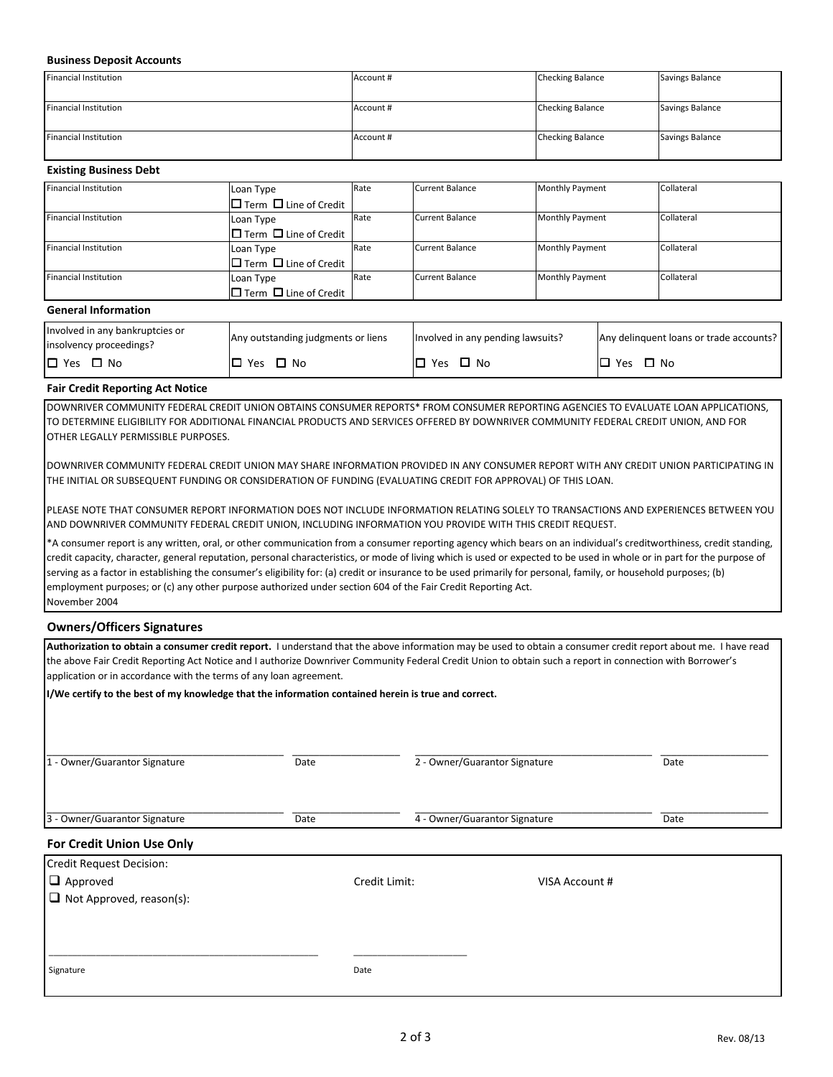#### **Business Deposit Accounts**

| <b>Financial Institution</b> | Account # | <b>Checking Balance</b> | Savings Balance |
|------------------------------|-----------|-------------------------|-----------------|
|                              |           |                         |                 |
| <b>Financial Institution</b> | Account # | <b>Checking Balance</b> | Savings Balance |
|                              |           |                         |                 |
| <b>Financial Institution</b> | Account # | <b>Checking Balance</b> | Savings Balance |
|                              |           |                         |                 |

#### **Existing Business Debt**

| Loan Type                               | Rate                                    | Current Balance   | <b>Monthly Payment</b> | Collateral |
|-----------------------------------------|-----------------------------------------|-------------------|------------------------|------------|
| $\square$ Term $\square$ Line of Credit |                                         |                   |                        |            |
| Loan Type                               | Rate                                    | l Current Balance | <b>Monthly Payment</b> | Collateral |
| $\square$ Term $\square$ Line of Credit |                                         |                   |                        |            |
| Loan Type                               | Rate                                    | Current Balance   | <b>Monthly Payment</b> | Collateral |
|                                         |                                         |                   |                        |            |
| Loan Type                               | Rate                                    | Current Balance   | <b>Monthly Payment</b> | Collateral |
| $\square$ Term $\square$ Line of Credit |                                         |                   |                        |            |
|                                         | $\square$ Term $\square$ Line of Credit |                   |                        |            |

#### **General Information**

| Involved in any bankruptcies or<br>insolvency proceedings? | Any outstanding judgments or liens | Involved in any pending lawsuits? | Any delinquent loans or trade accounts? |
|------------------------------------------------------------|------------------------------------|-----------------------------------|-----------------------------------------|
| $\Box$ Yes                                                 | Yes                                | $\Box$ No                         | $\Box$ No                               |
| $\square$ No                                               | ∩ No                               | Yes                               | Yes                                     |

## **Fair Credit Reporting Act Notice**

DOWNRIVER COMMUNITY FEDERAL CREDIT UNION OBTAINS CONSUMER REPORTS\* FROM CONSUMER REPORTING AGENCIES TO EVALUATE LOAN APPLICATIONS, TO DETERMINE ELIGIBILITY FOR ADDITIONAL FINANCIAL PRODUCTS AND SERVICES OFFERED BY DOWNRIVER COMMUNITY FEDERAL CREDIT UNION, AND FOR OTHER LEGALLY PERMISSIBLE PURPOSES.

DOWNRIVER COMMUNITY FEDERAL CREDIT UNION MAY SHARE INFORMATION PROVIDED IN ANY CONSUMER REPORT WITH ANY CREDIT UNION PARTICIPATING IN THE INITIAL OR SUBSEQUENT FUNDING OR CONSIDERATION OF FUNDING (EVALUATING CREDIT FOR APPROVAL) OF THIS LOAN.

PLEASE NOTE THAT CONSUMER REPORT INFORMATION DOES NOT INCLUDE INFORMATION RELATING SOLELY TO TRANSACTIONS AND EXPERIENCES BETWEEN YOU AND DOWNRIVER COMMUNITY FEDERAL CREDIT UNION, INCLUDING INFORMATION YOU PROVIDE WITH THIS CREDIT REQUEST.

\*A consumer report is any written, oral, or other communication from a consumer reporting agency which bears on an individual's creditworthiness, credit standing, credit capacity, character, general reputation, personal characteristics, or mode of living which is used or expected to be used in whole or in part for the purpose of serving as a factor in establishing the consumer's eligibility for: (a) credit or insurance to be used primarily for personal, family, or household purposes; (b) employment purposes; or (c) any other purpose authorized under section 604 of the Fair Credit Reporting Act. November 2004

#### **Owners/Officers Signatures**

| Authorization to obtain a consumer credit report. I understand that the above information may be used to obtain a consumer credit report about me. I have read |                                                                    |                               |                               |      |  |  |  |  |  |
|----------------------------------------------------------------------------------------------------------------------------------------------------------------|--------------------------------------------------------------------|-------------------------------|-------------------------------|------|--|--|--|--|--|
| the above Fair Credit Reporting Act Notice and I authorize Downriver Community Federal Credit Union to obtain such a report in connection with Borrower's      |                                                                    |                               |                               |      |  |  |  |  |  |
|                                                                                                                                                                | application or in accordance with the terms of any loan agreement. |                               |                               |      |  |  |  |  |  |
| I/We certify to the best of my knowledge that the information contained herein is true and correct.                                                            |                                                                    |                               |                               |      |  |  |  |  |  |
|                                                                                                                                                                |                                                                    |                               |                               |      |  |  |  |  |  |
|                                                                                                                                                                |                                                                    |                               |                               |      |  |  |  |  |  |
| 1 - Owner/Guarantor Signature                                                                                                                                  | Date                                                               |                               | 2 - Owner/Guarantor Signature | Date |  |  |  |  |  |
|                                                                                                                                                                |                                                                    |                               |                               |      |  |  |  |  |  |
|                                                                                                                                                                |                                                                    |                               |                               |      |  |  |  |  |  |
| 3 - Owner/Guarantor Signature                                                                                                                                  | Date                                                               | 4 - Owner/Guarantor Signature |                               | Date |  |  |  |  |  |
| For Credit Union Use Only                                                                                                                                      |                                                                    |                               |                               |      |  |  |  |  |  |
| <b>Credit Request Decision:</b>                                                                                                                                |                                                                    |                               |                               |      |  |  |  |  |  |
| $\Box$ Approved                                                                                                                                                |                                                                    | Credit Limit:                 | VISA Account #                |      |  |  |  |  |  |
| $\Box$ Not Approved, reason(s):                                                                                                                                |                                                                    |                               |                               |      |  |  |  |  |  |
|                                                                                                                                                                |                                                                    |                               |                               |      |  |  |  |  |  |
|                                                                                                                                                                |                                                                    |                               |                               |      |  |  |  |  |  |
|                                                                                                                                                                |                                                                    |                               |                               |      |  |  |  |  |  |
| Signature                                                                                                                                                      | Date                                                               |                               |                               |      |  |  |  |  |  |